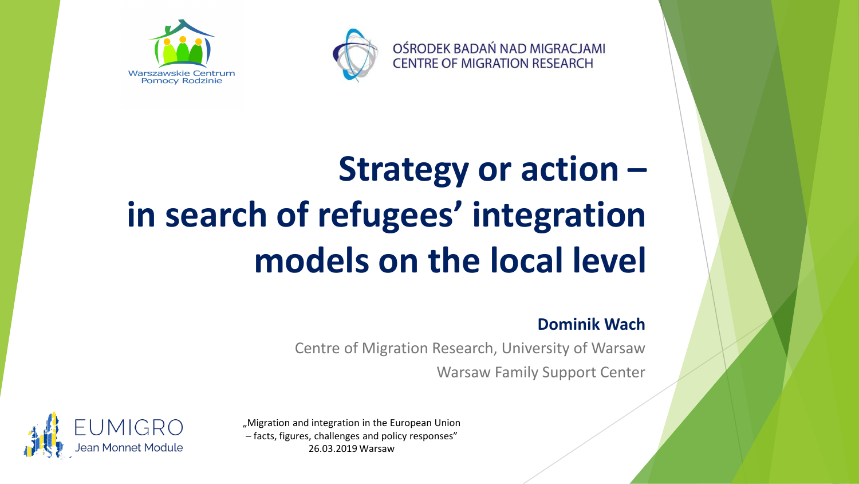



# **Strategy or action – in search of refugees' integration models on the local level**

#### **Dominik Wach**

Centre of Migration Research, University of Warsaw Warsaw Family Support Center

OŚRODEK BADAŃ NAD MIGRACJAMI **CENTRE OF MIGRATION RESEARCH** 



"Migration and integration in the European Union – facts, figures, challenges and policy responses" 26.03.2019 Warsaw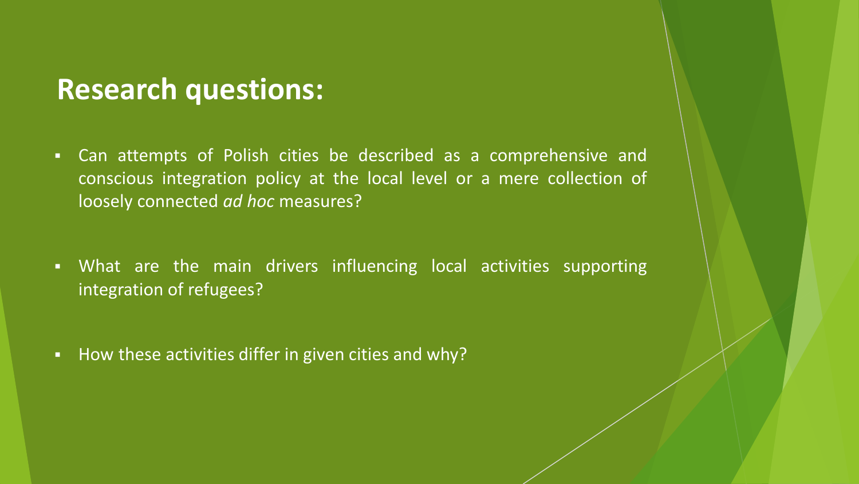#### **Research questions:**

- Can attempts of Polish cities be described as a comprehensive and conscious integration policy at the local level or a mere collection of loosely connected *ad hoc* measures?
- What are the main drivers influencing local activities supporting integration of refugees?
- How these activities differ in given cities and why?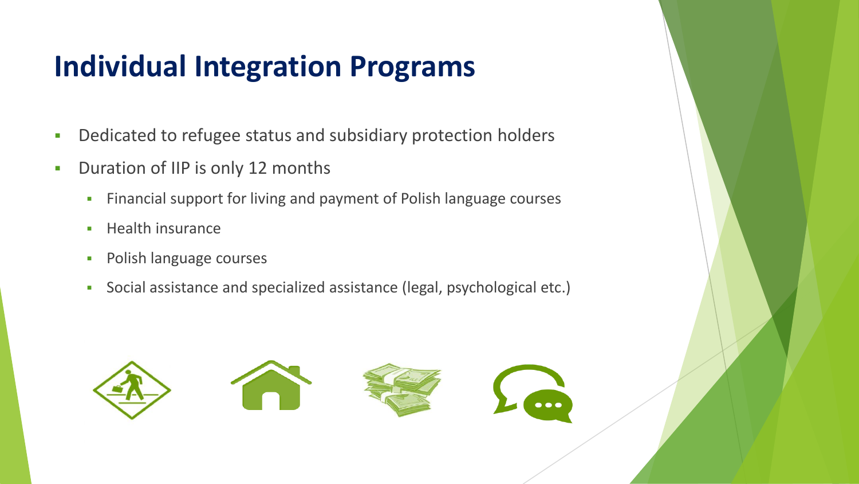## **Individual Integration Programs**

- Dedicated to refugee status and subsidiary protection holders
- **•** Duration of IIP is only 12 months
	- **EXECT:** Financial support for living and payment of Polish language courses
	- Health insurance
	- **•** Polish language courses
	- Social assistance and specialized assistance (legal, psychological etc.)

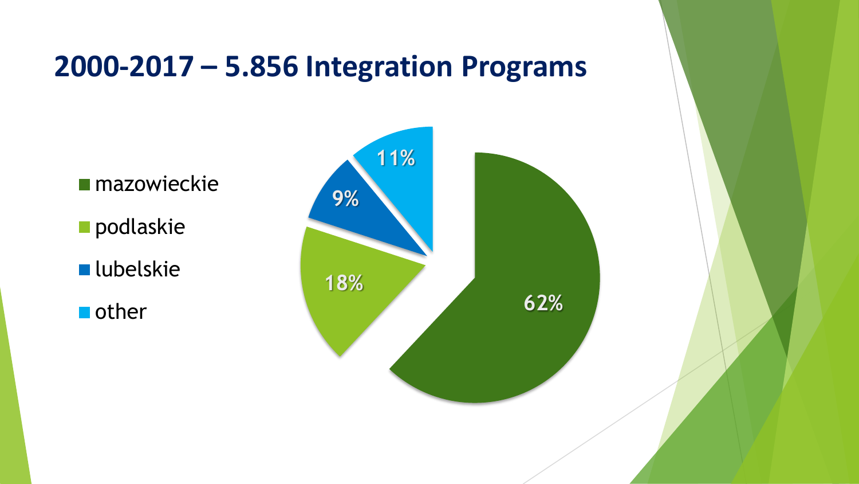#### **2000-2017 – 5.856 Integration Programs**

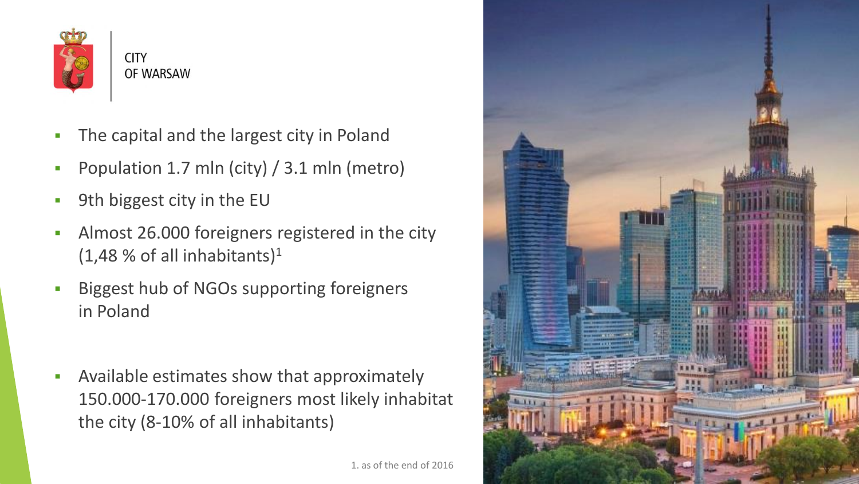

**CITY** OF WARSAW

- The capital and the largest city in Poland
- Population 1.7 mln (city)  $/$  3.1 mln (metro)
- 9th biggest city in the EU
- Almost 26.000 foreigners registered in the city  $(1,48 \times \text{of all inhabitants})$ <sup>1</sup>
- Biggest hub of NGOs supporting foreigners in Poland
- Available estimates show that approximately 150.000-170.000 foreigners most likely inhabitat the city (8-10% of all inhabitants)

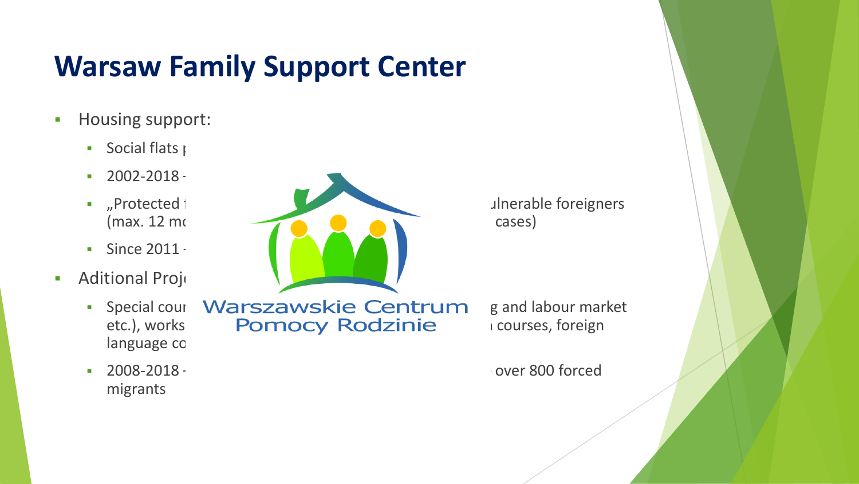## **Warsaw Family Support Center**

- **•** Housing support:
	- **•** Social flats provided in
	- $-2002 2018 -$
	-
	- $\blacksquare$  Since 2011  $\blacksquare$
- **Aditional Projects** 
	- language co
	- migrants



• Special cour Warszawskie Centrum g and labour market etc.), works **Pomocy Rodzinie** i courses, foreign

■ 2008-2018 – cofounded from EU Funds (e.g. AMIF, ESF) – over 800 forced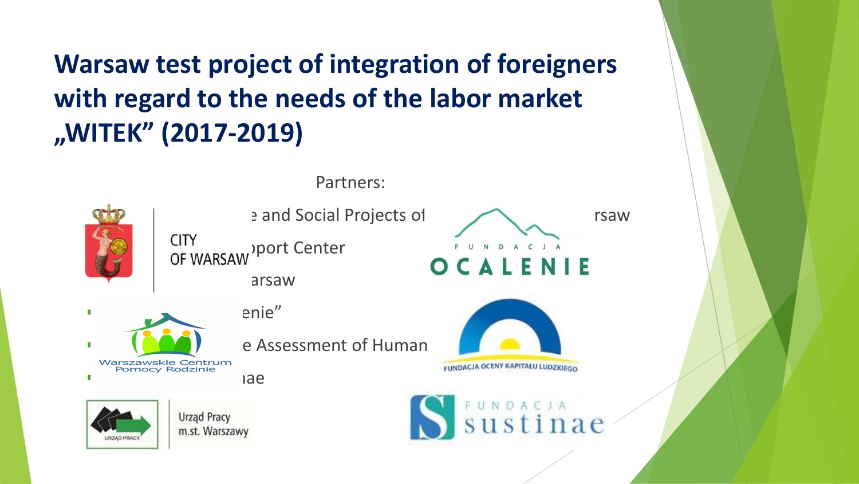**Warsaw test project of integration of foreigners with regard to the needs of the labor market "WITEK" (2017-2019)**

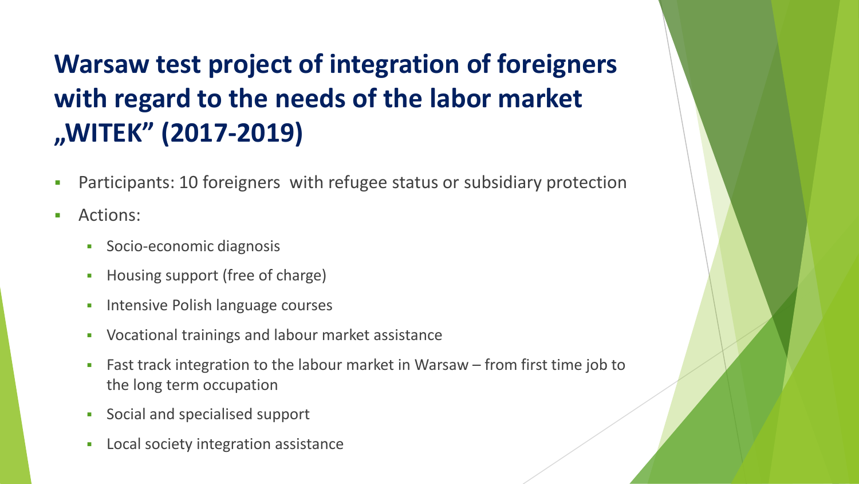#### **Warsaw test project of integration of foreigners with regard to the needs of the labor market "WITEK" (2017-2019)**

- Participants: 10 foreigners with refugee status or subsidiary protection
- Actions:
	- Socio-economic diagnosis
	- Housing support (free of charge)
	- **•** Intensive Polish language courses
	- Vocational trainings and labour market assistance
	- Fast track integration to the labour market in Warsaw from first time job to the long term occupation
	- Social and specialised support
	- Local society integration assistance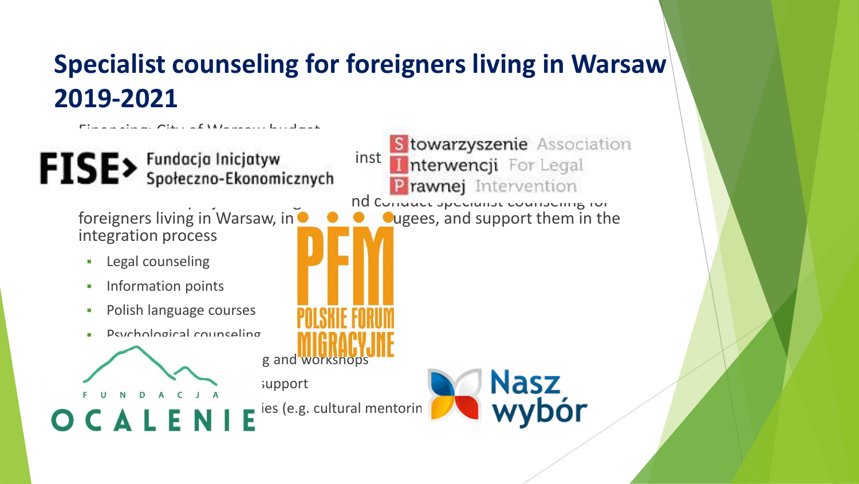#### **Specialist counseling for foreigners living in Warsaw 2019-2021**

g and workshops

support

 $\mathbf{TC} \mathbf{E}$  Fundacja Inicjatyw institution between  $\mathbf{E}$  Family Support  $\mathbf{E}$ JE'

 $F_{\rm eff}$  Financing: City of Warsaw budgets budgets budgets budgets budgets budgets budgets budgets budgets budgets budgets budgets budgets budgets budgets budgets budgets budgets budgets budgets budgets budgets budgets bu

foreigners living in Warsaw, in  $\bullet$ integration process

- **•** Legal counseling
- **•** Information points

 $\bullet$   $\bullet$   $\bullet$   $\bullet$   $\bullet$ 

- **•** Polish language courses
- Psychological counseling

**Prawnej** Intervention<br>
Ind Conduct specialist counseling for<br> **O** Qugees, and support them in the

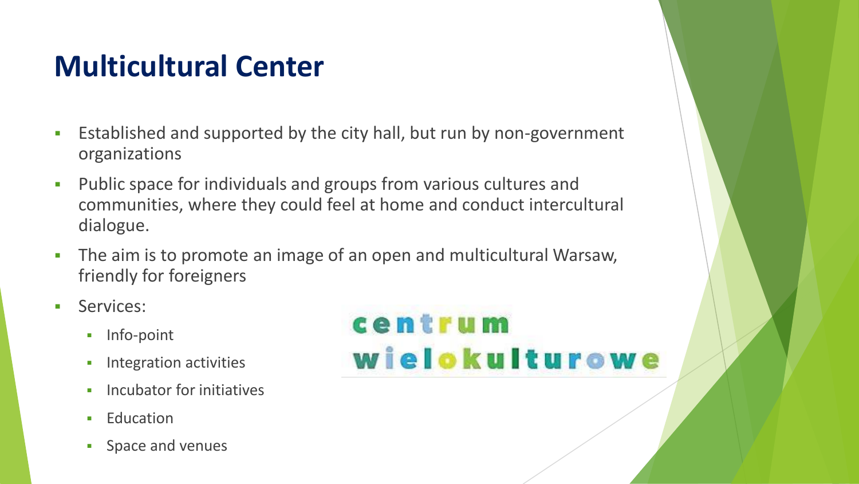### **Multicultural Center**

- Established and supported by the city hall, but run by non-government organizations
- Public space for individuals and groups from various cultures and communities, where they could feel at home and conduct intercultural dialogue.
- **•** The aim is to promote an image of an open and multicultural Warsaw, friendly for foreigners
- **•** Services:
	- Info-point
	- **·** Integration activities
	- **·** Incubator for initiatives
	- **•** Education
	- **•** Space and venues

# centrum wielokulturowe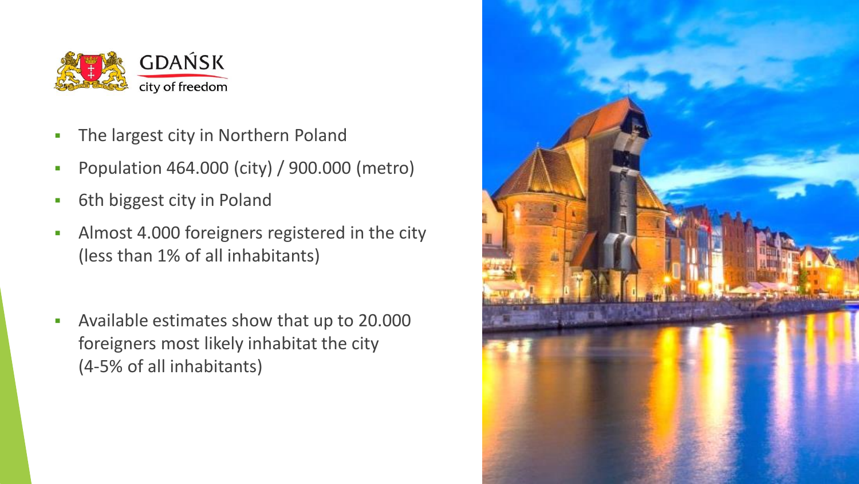

- **The largest city in Northern Poland**
- Population 464.000 (city) / 900.000 (metro)
- **•** 6th biggest city in Poland
- **EXECUTE:** Almost 4.000 foreigners registered in the city (less than 1% of all inhabitants)
- Available estimates show that up to 20.000 foreigners most likely inhabitat the city (4-5% of all inhabitants)

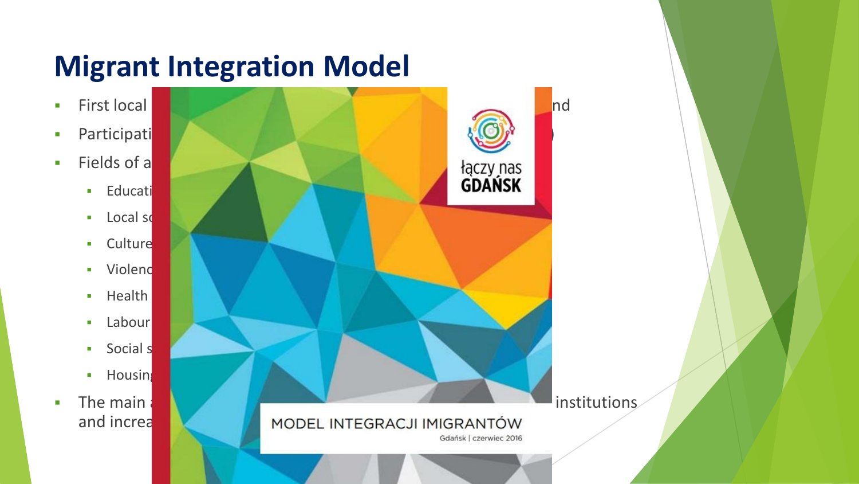# **Migrant Integration Model**



- **•** Participati
- **Exercise E** Fields of a
	- **■** Educati
	- $\blacksquare$  Local society
	- Culture
	- **■** Violenc
	- **•** Health
	- $\blacksquare$  Labour
	- **■** Social s
	- **•** Housing
- 

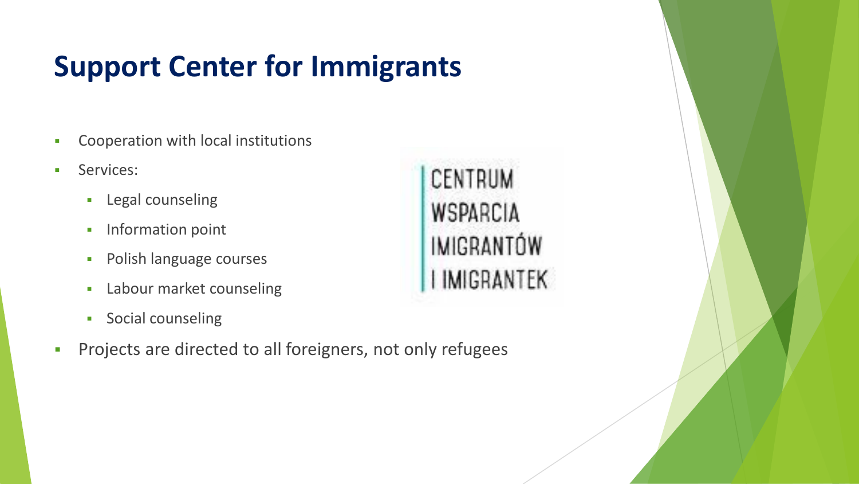# **Support Center for Immigrants**

- Cooperation with local institutions
- Services:
	- **•** Legal counseling
	- **·** Information point
	- **•** Polish language courses
	- **Example 1** Labour market counseling
	- **•** Social counseling
- Projects are directed to all foreigners, not only refugees

CENTRUM WSPARCIA IMIGRANTÓW **I IMIGRANTEK**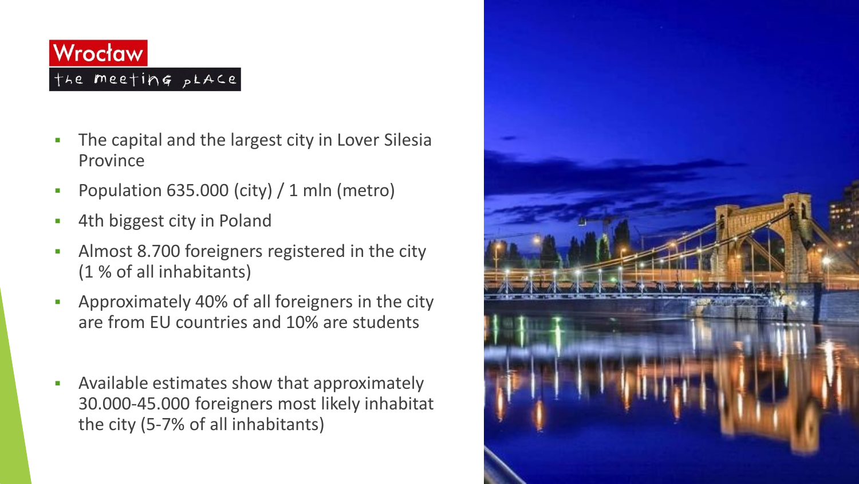#### Wrocław the meeting pLACE

- The capital and the largest city in Lover Silesia Province
- Population  $635.000$  (city) / 1 mln (metro)
- 4th biggest city in Poland
- Almost 8.700 foreigners registered in the city (1 % of all inhabitants)
- Approximately 40% of all foreigners in the city are from EU countries and 10% are students
- Available estimates show that approximately 30.000-45.000 foreigners most likely inhabitat the city (5-7% of all inhabitants)

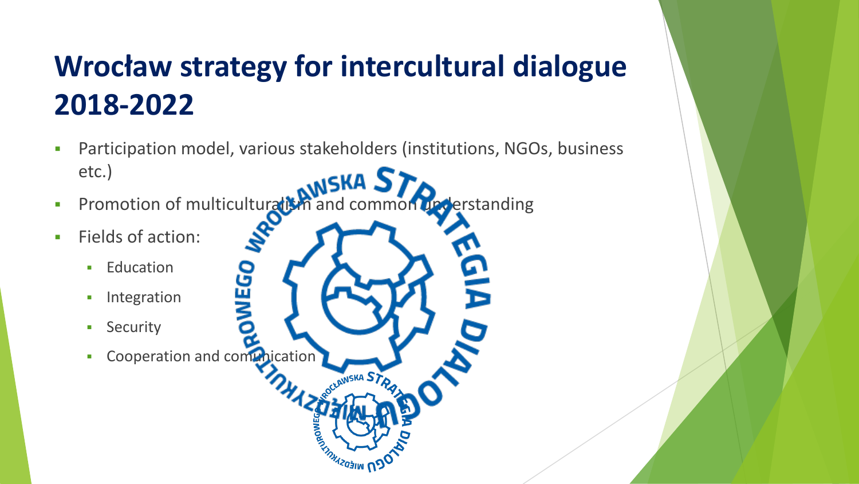# **Wrocław strategy for intercultural dialogue 2018-2022**

▪ Participation model, various stakeholders (institutions, NGOs, business etc.) **SKA.** 

**NEKA ST** 

**ERIMIZOSIN Nº** 

**•** Promotion of multiculturalism and common upderstanding

င္မ π ⋚

- Fields of action:
	- **Education**
	- **·** Integration
	- **•** Security
	- Cooperation and comunication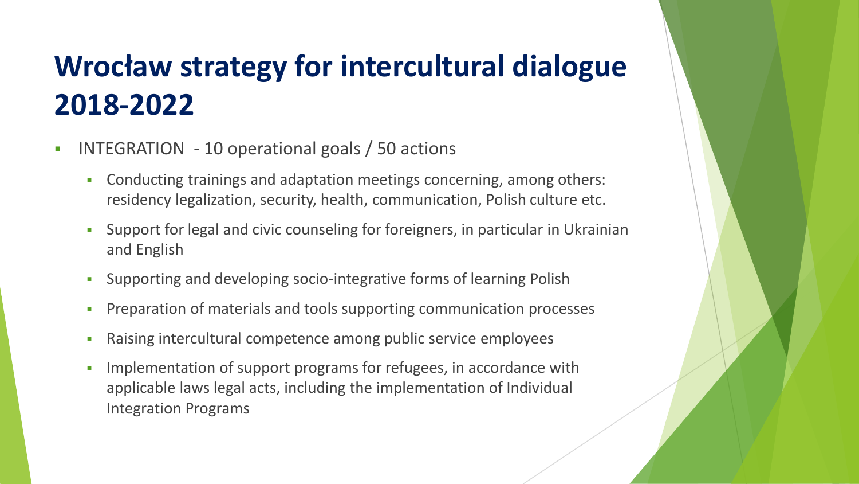# **Wrocław strategy for intercultural dialogue 2018-2022**

- INTEGRATION 10 operational goals / 50 actions
	- Conducting trainings and adaptation meetings concerning, among others: residency legalization, security, health, communication, Polish culture etc.
	- Support for legal and civic counseling for foreigners, in particular in Ukrainian and English
	- Supporting and developing socio-integrative forms of learning Polish
	- **Preparation of materials and tools supporting communication processes**
	- Raising intercultural competence among public service employees
	- **•** Implementation of support programs for refugees, in accordance with applicable laws legal acts, including the implementation of Individual Integration Programs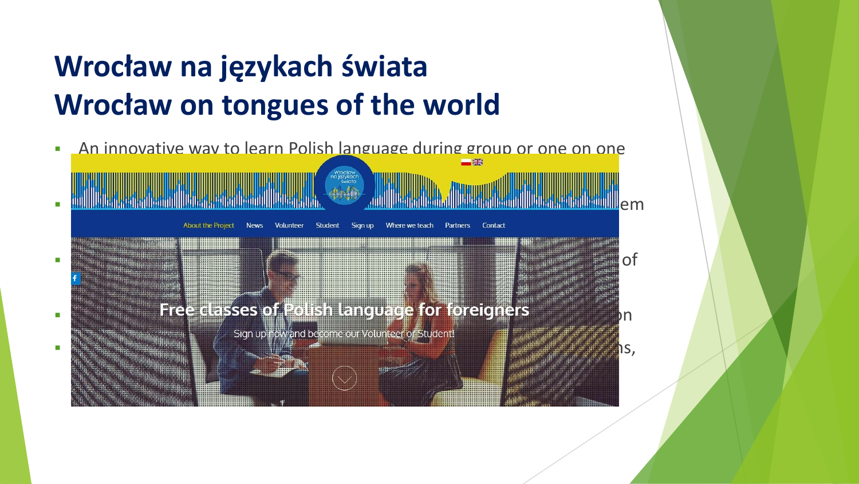# **Wrocław na językach świata Wrocław on tongues of the world**

**An innovative way to learn Polish language during group or one on one** meetings in the public space of the public space of the public space of the public space of the public space o <u>▪ Politik volunteers can meet for the can meet foreigners living in the city and talk with the city and talk with the city and talk with the city and talk with the city and talk with the city and talk with the city and </u> about the Project News Volunteer Student Sign up Where we teach Partners Contact  $\bullet$  Better understanding of the foreign neighbours, the foreign neighbours, their culture and way of  $\circ$ living **E Example 2** Free classes of Polish language for foreigners<br>Sign up now and become our Volunteer or Student!  $-$  Cooperation between municipality and municipality and municipality and municipality and  $\sim$ libraries, bookstores, NGOs, restaurants or cafes where meetings can take place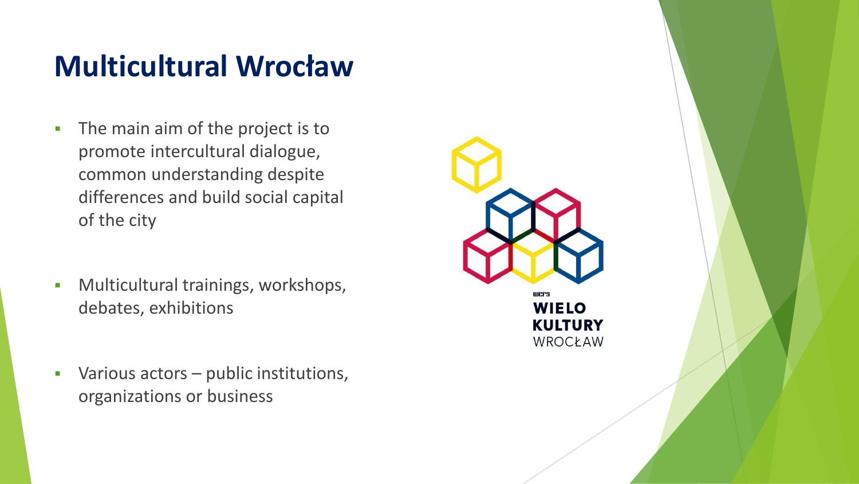### **Multicultural Wrocław**

- **•** The main aim of the project is to promote intercultural dialogue, common understanding despite differences and build social capital of the city
- Multicultural trainings, workshops, debates, exhibitions
- Various actors public institutions, organizations or business